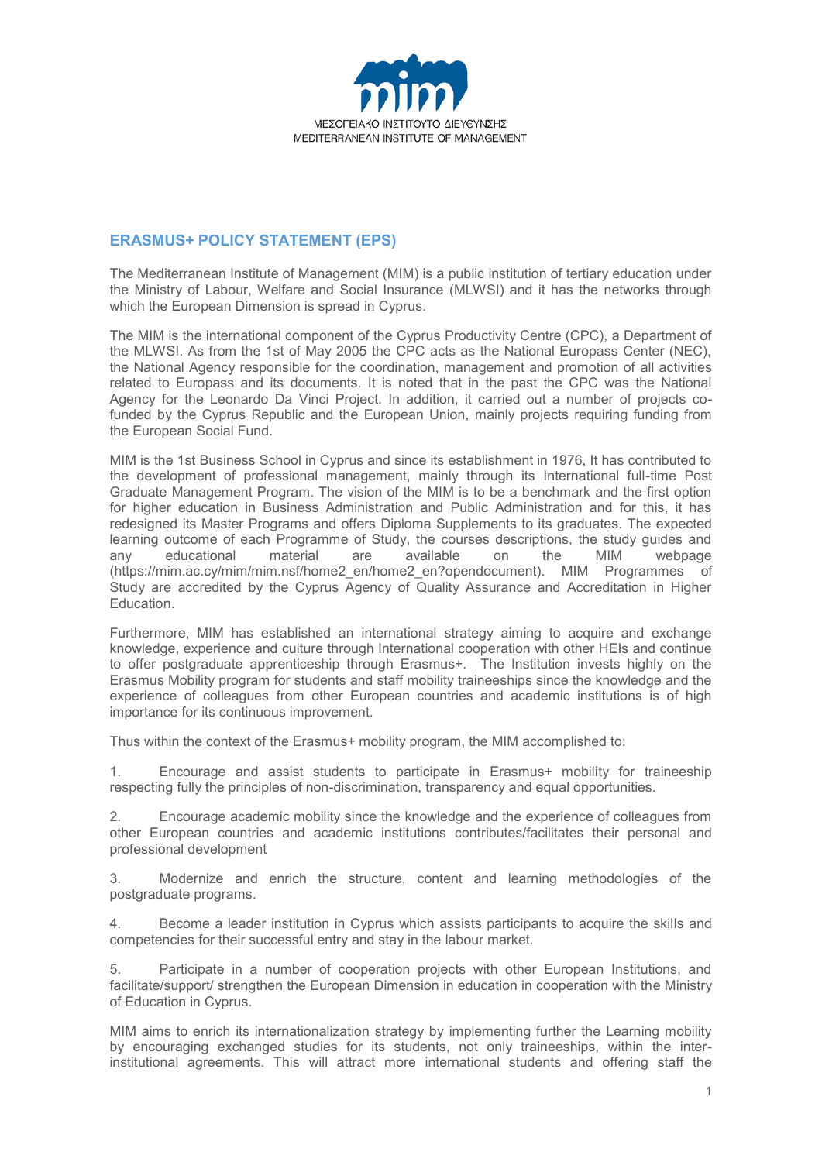

## **ERASMUS+ POLICY STATEMENT (EPS)**

The Mediterranean Institute of Management (MIM) is a public institution of tertiary education under the Ministry of Labour, Welfare and Social Insurance (MLWSI) and it has the networks through which the European Dimension is spread in Cyprus.

The MIM is the international component of the Cyprus Productivity Centre (CPC), a Department of the MLWSI. As from the 1st of May 2005 the CPC acts as the National Europass Center (NEC), the National Agency responsible for the coordination, management and promotion of all activities related to Europass and its documents. It is noted that in the past the CPC was the National Agency for the Leonardo Da Vinci Project. In addition, it carried out a number of projects cofunded by the Cyprus Republic and the European Union, mainly projects requiring funding from the European Social Fund.

MIM is the 1st Business School in Cyprus and since its establishment in 1976, It has contributed to the development of professional management, mainly through its International full-time Post Graduate Management Program. The vision of the MIM is to be a benchmark and the first option for higher education in Business Administration and Public Administration and for this, it has redesigned its Master Programs and offers Diploma Supplements to its graduates. The expected learning outcome of each Programme of Study, the courses descriptions, the study guides and any educational material are available on the MIM webpage (https://mim.ac.cy/mim/mim.nsf/home2\_en/home2\_en?opendocument). MIM Programmes of Study are accredited by the Cyprus Agency of Quality Assurance and Accreditation in Higher Education.

Furthermore, MIM has established an international strategy aiming to acquire and exchange knowledge, experience and culture through International cooperation with other HEIs and continue to offer postgraduate apprenticeship through Erasmus+. The Institution invests highly on the Erasmus Mobility program for students and staff mobility traineeships since the knowledge and the experience of colleagues from other European countries and academic institutions is of high importance for its continuous improvement.

Thus within the context of the Erasmus+ mobility program, the MIM accomplished to:

1. Encourage and assist students to participate in Erasmus+ mobility for traineeship respecting fully the principles of non-discrimination, transparency and equal opportunities.

2. Encourage academic mobility since the knowledge and the experience of colleagues from other European countries and academic institutions contributes/facilitates their personal and professional development

3. Modernize and enrich the structure, content and learning methodologies of the postgraduate programs.

4. Become a leader institution in Cyprus which assists participants to acquire the skills and competencies for their successful entry and stay in the labour market.

5. Participate in a number of cooperation projects with other European Institutions, and facilitate/support/ strengthen the European Dimension in education in cooperation with the Ministry of Education in Cyprus.

MIM aims to enrich its internationalization strategy by implementing further the Learning mobility by encouraging exchanged studies for its students, not only traineeships, within the interinstitutional agreements. This will attract more international students and offering staff the